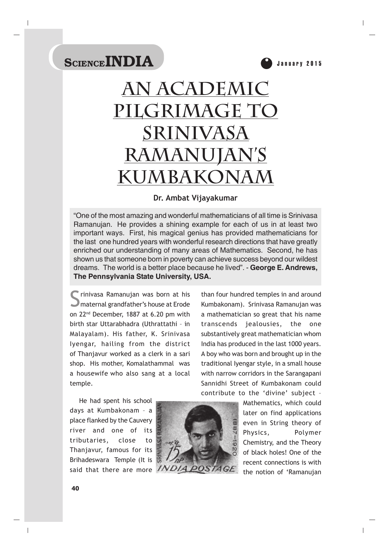

# **An Academic Pilgrimage To Srinivasa Ramanujan's Kumbakonam**

#### **Dr. Ambat Vijayakumar**

"One of the most amazing and wonderful mathematicians of all time is Srinivasa Ramanujan. He provides a shining example for each of us in at least two important ways. First, his magical genius has provided mathematicians for the last one hundred years with wonderful research directions that have greatly enriched our understanding of many areas of Mathematics. Second, he has shown us that someone born in poverty can achieve success beyond our wildest dreams. The world is a better place because he lived". - **George E. Andrews, The Pennsylvania State University, USA.**

Simir inivasa Ramanujan was born at his<br>Simaternal grandfather's house at Erode on 22nd December, 1887 at 6.20 pm with birth star Uttarabhadra (Uthrattathi – in Malayalam). His father, K. Srinivasa Iyengar, hailing from the district of Thanjavur worked as a clerk in a sari shop. His mother, Komalathammal was a housewife who also sang at a local temple.

than four hundred temples in and around Kumbakonam). Srinivasa Ramanujan was a mathematician so great that his name transcends jealousies, the one substantively great mathematician whom India has produced in the last 1000 years. A boy who was born and brought up in the traditional Iyengar style, in a small house with narrow corridors in the Sarangapani Sannidhi Street of Kumbakonam could contribute to the 'divine' subject –

He had spent his school days at Kumbakonam – a place flanked by the Cauvery river and one of its tributaries, close to Thanjavur, famous for its Brihadeswara Temple (It is said that there are more INDIA



Mathematics, which could later on find applications even in String theory of Physics, Polymer Chemistry, and the Theory of black holes! One of the recent connections is with the notion of 'Ramanujan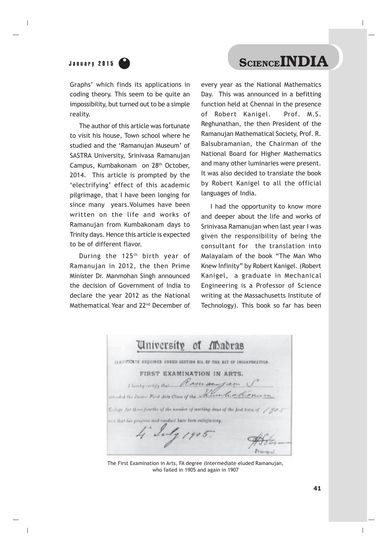# January 2015 **Cance INDIA**

Graphs' which finds its applications in coding theory. This seem to be quite an impossibility, but turned out to be a simple reality.

The author of this article was fortunate to visit his house, Town school where he studied and the 'Ramanujan Museum' of SASTRA University, Srinivasa Ramanujan Campus, Kumbakonam on 28th October, 2014. This article is prompted by the 'electrifying' effect of this academic pilgrimage, that I have been longing for since many years.Volumes have been written on the life and works of Ramanujan from Kumbakonam days to Trinity days. Hence this article is expected to be of different flavor.

During the 125<sup>th</sup> birth year of Ramanujan in 2012, the then Prime Minister Dr. Manmohan Singh announced the decision of Government of India to declare the year 2012 as the National Mathematical Year and 22nd December of

every year as the National Mathematics Day. This was announced in a befitting function held at Chennai in the presence of Robert Kanigel. Prof. M.S. Reghunathan, the then President of the Ramanujan Mathematical Society, Prof. R. Balsubramanian, the Chairman of the National Board for Higher Mathematics and many other luminaries were present. It was also decided to translate the book by Robert Kanigel to all the official languages of India.

I had the opportunity to know more and deeper about the life and works of Srinivasa Ramanujan when last year I was given the responsibility of being the consultant for the translation into Malayalam of the book "The Man Who Knew Infinity" by Robert Kanigel. (Robert Kanigel, a graduate in Mechanical Engineering is a Professor of Science writing at the Massachusetts Institute of Technology). This book so far has been

|  | University of Madras                                      |  |                                                                                     |  |
|--|-----------------------------------------------------------|--|-------------------------------------------------------------------------------------|--|
|  |                                                           |  | CENTIFICATE SEQUIRED UNDER SECTION XII. OF THE ACT OF INCORPORATION.                |  |
|  | FIRST EXAMINATION IN ARTS.                                |  |                                                                                     |  |
|  | I limby certify that Raser any fam S                      |  | attended the James First Arts Class of the Aument a Konsum                          |  |
|  |                                                           |  | College for three-fourths of the number of morking days of the first term of / go 5 |  |
|  | and that his progress and conduct have been satisfactory. |  |                                                                                     |  |
|  | 4 Suly 1905.                                              |  |                                                                                     |  |
|  |                                                           |  |                                                                                     |  |

The First Examination in Arts, FA degree (Intermediate eluded Ramanujan, who failed in 1905 and again in 1907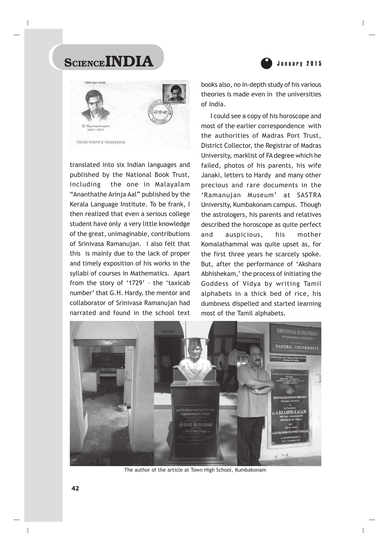



translated into six Indian languages and published by the National Book Trust, including the one in Malayalam "Ananthathe Arinja Aal" published by the Kerala Language Institute. To be frank, I then realized that even a serious college student have only a very little knowledge of the great, unimaginable, contributions of Srinivasa Ramanujan. I also felt that this is mainly due to the lack of proper and timely exposition of his works in the syllabi of courses in Mathematics. Apart from the story of '1729' – the 'taxicab number' that G.H. Hardy, the mentor and collaborator of Srinivasa Ramanujan had narrated and found in the school text

books also, no in-depth study of his various theories is made even in the universities of India.

I could see a copy of his horoscope and most of the earlier correspondence with the authorities of Madras Port Trust, District Collector, the Registrar of Madras University, marklist of FA degree which he failed, photos of his parents, his wife Janaki, letters to Hardy and many other precious and rare documents in the 'Ramanujan Museum' at SASTRA University, Kumbakonam campus. Though the astrologers, his parents and relatives described the horoscope as quite perfect and auspicious, his mother Komalathammal was quite upset as, for the first three years he scarcely spoke. But, after the performance of 'Akshara Abhishekam,' the process of initiating the Goddess of Vidya by writing Tamil alphabets in a thick bed of rice, his dumbness dispelled and started learning most of the Tamil alphabets.



The author of the article at Town High School, Kumbakonam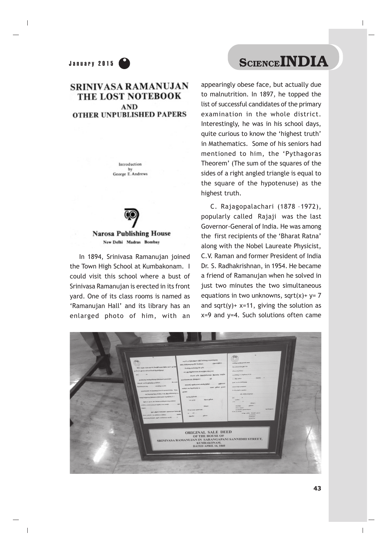### **SRINIVASA RAMANUJAN** THE LOST NOTEBOOK **AND OTHER UNPUBLISHED PAPERS**

Introduction by George E. Andrews



**Narosa Publishing House** New Delhi Madras Bombay

In 1894, Srinivasa Ramanujan joined the Town High School at Kumbakonam. I could visit this school where a bust of Srinivasa Ramanujan is erected in its front yard. One of its class rooms is named as 'Ramanujan Hall' and its library has an enlarged photo of him, with an

appearingly obese face, but actually due to malnutrition. In 1897, he topped the list of successful candidates of the primary examination in the whole district. Interestingly, he was in his school days, quite curious to know the 'highest truth' in Mathematics. Some of his seniors had mentioned to him, the 'Pythagoras Theorem' (The sum of the squares of the sides of a right angled triangle is equal to the square of the hypotenuse) as the highest truth.

C. Rajagopalachari (1878 –1972), popularly called Rajaji was the last Governor-General of India. He was among the first recipients of the 'Bharat Ratna' along with the Nobel Laureate Physicist, C.V. Raman and former President of India Dr. S. Radhakrishnan, in 1954. He became a friend of Ramanujan when he solved in just two minutes the two simultaneous equations in two unknowns, sqrt $(x)$ + y= 7 and sqrt(y)+  $x=11$ , giving the solution as  $x=9$  and  $y=4$ . Such solutions often came

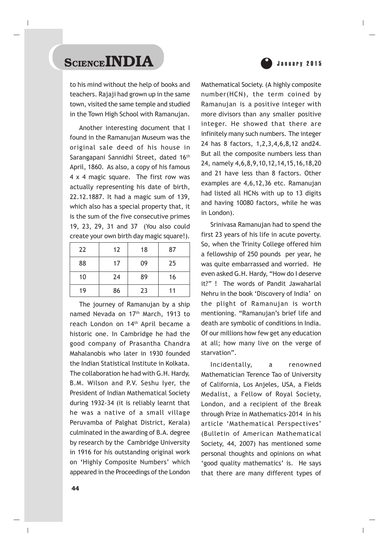

to his mind without the help of books and teachers. Rajaji had grown up in the same town, visited the same temple and studied in the Town High School with Ramanujan.

Another interesting document that I found in the Ramanujan Museum was the original sale deed of his house in Sarangapani Sannidhi Street, dated 16<sup>th</sup> April, 1860. As also, a copy of his famous 4 x 4 magic square. The first row was actually representing his date of birth, 22.12.1887. It had a magic sum of 139, which also has a special property that, it is the sum of the five consecutive primes 19, 23, 29, 31 and 37 (You also could create your own birth day magic square!).

| 22 | 12 | 18 | 87 |
|----|----|----|----|
| 88 | 17 | 09 | 25 |
| 10 | 24 | 89 | 16 |
| 19 | 86 | 23 | 11 |

The journey of Ramanujan by a ship named Nevada on 17th March, 1913 to reach London on 14th April became a historic one. In Cambridge he had the good company of Prasantha Chandra Mahalanobis who later in 1930 founded the Indian Statistical Institute in Kolkata. The collaboration he had with G.H. Hardy, B.M. Wilson and P.V. Seshu Iyer, the President of Indian Mathematical Society during 1932-34 (it is reliably learnt that he was a native of a small village Peruvamba of Palghat District, Kerala) culminated in the awarding of B.A. degree by research by the Cambridge University in 1916 for his outstanding original work on **'**Highly Composite Numbers' which appeared in the Proceedings of the London

Mathematical Society. (A highly composite number(HCN), the term coined by Ramanujan is a positive integer with more divisors than any smaller positive integer. He showed that there are infinitely many such numbers. The integer 24 has 8 factors, 1,2,3,4,6,8,12 and24. But all the composite numbers less than 24, namely 4,6,8,9,10,12,14,15,16,18,20 and 21 have less than 8 factors. Other examples are 4,6,12,36 etc. Ramanujan had listed all HCNs with up to 13 digits and having 10080 factors, while he was in London).

Srinivasa Ramanujan had to spend the first 23 years of his life in acute poverty. So, when the Trinity College offered him a fellowship of 250 pounds per year, he was quite embarrassed and worried. He even asked G.H. Hardy, "How do I deserve it?" ! The words of Pandit Jawaharlal Nehru in the book 'Discovery of India' on the plight of Ramanujan is worth mentioning. "Ramanujan's brief life and death are symbolic of conditions in India. Of our millions how few get any education at all; how many live on the verge of starvation".

Incidentally, a renowned Mathematician Terence Tao of University of California, Los Anjeles, USA, a Fields Medalist, a Fellow of Royal Society, London, and a recipient of the Break through Prize in Mathematics-2014 in his article 'Mathematical Perspectives' (Bulletin of American Mathematical Society, 44, 2007) has mentioned some personal thoughts and opinions on what 'good quality mathematics' is. He says that there are many different types of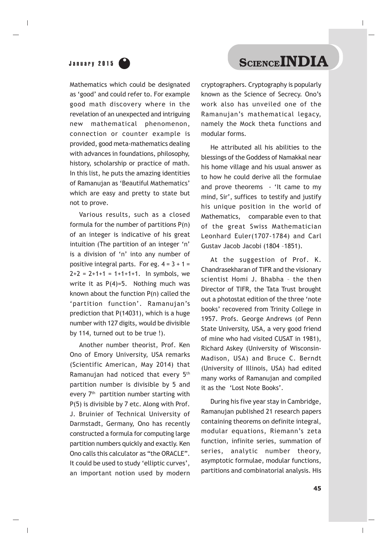January 2015 **CLENCEINDIA** 

Mathematics which could be designated as 'good' and could refer to. For example good math discovery where in the revelation of an unexpected and intriguing new mathematical phenomenon, connection or counter example is provided, good meta-mathematics dealing with advances in foundations, philosophy, history, scholarship or practice of math. In this list, he puts the amazing identities of Ramanujan as 'Beautiful Mathematics' which are easy and pretty to state but not to prove.

Various results, such as a closed formula for the number of partitions P(n) of an integer is indicative of his great intuition (The partition of an integer 'n' is a division of 'n' into any number of positive integral parts. For eg.  $4 = 3 + 1 =$  $2+2 = 2+1+1 = 1+1+1+1$ . In symbols, we write it as  $P(4)=5$ . Nothing much was known about the function P(n) called the 'partition function'. Ramanujan's prediction that P(14031), which is a huge number with 127 digits, would be divisible by 114, turned out to be true !).

Another number theorist, Prof. Ken Ono of Emory University, USA remarks (Scientific American, May 2014) that Ramanujan had noticed that every 5th partition number is divisible by 5 and every 7<sup>th</sup> partition number starting with P(5) is divisible by 7 etc. Along with Prof. J. Bruinier of Technical University of Darmstadt, Germany, Ono has recently constructed a formula for computing large partition numbers quickly and exactly. Ken Ono calls this calculator as "the ORACLE". It could be used to study 'elliptic curves', an important notion used by modern

cryptographers. Cryptography is popularly known as the Science of Secrecy. Ono's work also has unveiled one of the Ramanujan's mathematical legacy, namely the Mock theta functions and modular forms.

He attributed all his abilities to the blessings of the Goddess of Namakkal near his home village and his usual answer as to how he could derive all the formulae and prove theorems - 'It came to my mind, Sir', suffices to testify and justify his unique position in the world of Mathematics, comparable even to that of the great Swiss Mathematician Leonhard Euler(1707-1784) and Carl Gustav Jacob Jacobi (1804 –1851).

At the suggestion of Prof. K. Chandrasekharan of TIFR and the visionary scientist Homi J. Bhabha – the then Director of TIFR, the Tata Trust brought out a photostat edition of the three 'note books' recovered from Trinity College in 1957. Profs. George Andrews (of Penn State University, USA, a very good friend of mine who had visited CUSAT in 1981), Richard Askey (University of Wisconsin-Madison, USA) and Bruce C. Berndt (University of Illinois, USA) had edited many works of Ramanujan and compiled it as the 'Lost Note Books'.

During his five year stay in Cambridge, Ramanujan published 21 research papers containing theorems on definite integral, modular equations, Riemann's zeta function, infinite series, summation of series, analytic number theory, asymptotic formulae, modular functions, partitions and combinatorial analysis. His